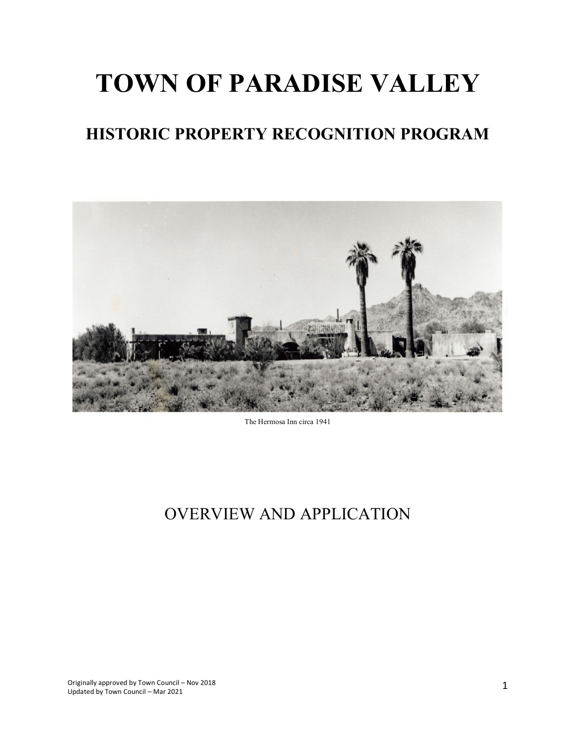# **TOWN OF PARADISE VALLEY**

# **HISTORIC PROPERTY RECOGNITION PROGRAM**



The Hermosa Inn circa 1941

# OVERVIEW AND APPLICATION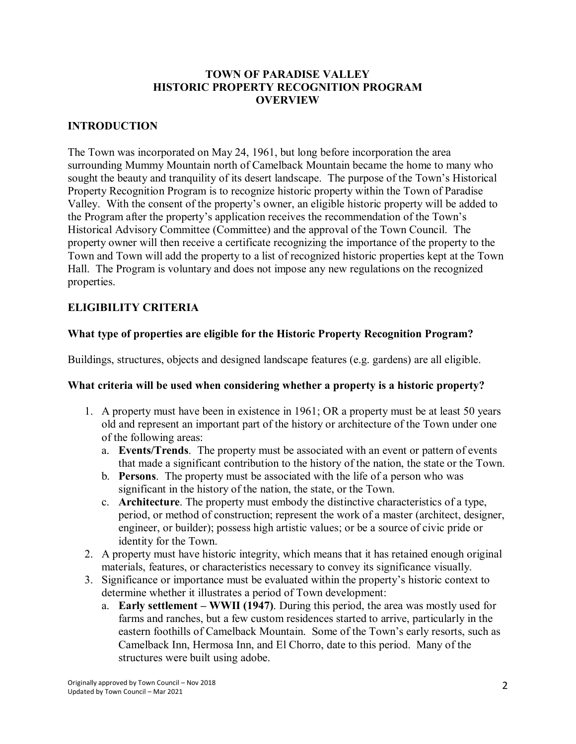# **TOWN OF PARADISE VALLEY HISTORIC PROPERTY RECOGNITION PROGRAM OVERVIEW**

# **INTRODUCTION**

The Town was incorporated on May 24, 1961, but long before incorporation the area surrounding Mummy Mountain north of Camelback Mountain became the home to many who sought the beauty and tranquility of its desert landscape. The purpose of the Town's Historical Property Recognition Program is to recognize historic property within the Town of Paradise Valley. With the consent of the property's owner, an eligible historic property will be added to the Program after the property's application receives the recommendation of the Town's Historical Advisory Committee (Committee) and the approval of the Town Council. The property owner will then receive a certificate recognizing the importance of the property to the Town and Town will add the property to a list of recognized historic properties kept at the Town Hall. The Program is voluntary and does not impose any new regulations on the recognized properties.

# **ELIGIBILITY CRITERIA**

# **What type of properties are eligible for the Historic Property Recognition Program?**

Buildings, structures, objects and designed landscape features (e.g. gardens) are all eligible.

#### **What criteria will be used when considering whether a property is a historic property?**

- 1. A property must have been in existence in 1961; OR a property must be at least 50 years old and represent an important part of the history or architecture of the Town under one of the following areas:
	- a. **Events/Trends**. The property must be associated with an event or pattern of events that made a significant contribution to the history of the nation, the state or the Town.
	- b. **Persons**. The property must be associated with the life of a person who was significant in the history of the nation, the state, or the Town.
	- c. **Architecture**. The property must embody the distinctive characteristics of a type, period, or method of construction; represent the work of a master (architect, designer, engineer, or builder); possess high artistic values; or be a source of civic pride or identity for the Town.
- 2. A property must have historic integrity, which means that it has retained enough original materials, features, or characteristics necessary to convey its significance visually.
- 3. Significance or importance must be evaluated within the property's historic context to determine whether it illustrates a period of Town development:
	- a. **Early settlement – WWII (1947)**. During this period, the area was mostly used for farms and ranches, but a few custom residences started to arrive, particularly in the eastern foothills of Camelback Mountain. Some of the Town's early resorts, such as Camelback Inn, Hermosa Inn, and El Chorro, date to this period. Many of the structures were built using adobe.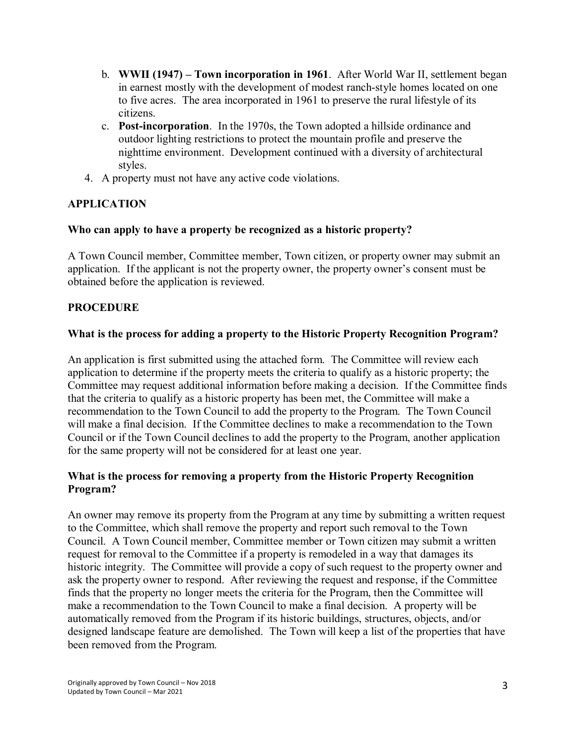- b. **WWII (1947) – Town incorporation in 1961**. After World War II, settlement began in earnest mostly with the development of modest ranch-style homes located on one to five acres. The area incorporated in 1961 to preserve the rural lifestyle of its citizens.
- c. **Post-incorporation**. In the 1970s, the Town adopted a hillside ordinance and outdoor lighting restrictions to protect the mountain profile and preserve the nighttime environment. Development continued with a diversity of architectural styles.
- 4. A property must not have any active code violations.

# **APPLICATION**

# **Who can apply to have a property be recognized as a historic property?**

A Town Council member, Committee member, Town citizen, or property owner may submit an application. If the applicant is not the property owner, the property owner's consent must be obtained before the application is reviewed.

# **PROCEDURE**

#### **What is the process for adding a property to the Historic Property Recognition Program?**

An application is first submitted using the attached form. The Committee will review each application to determine if the property meets the criteria to qualify as a historic property; the Committee may request additional information before making a decision. If the Committee finds that the criteria to qualify as a historic property has been met, the Committee will make a recommendation to the Town Council to add the property to the Program. The Town Council will make a final decision. If the Committee declines to make a recommendation to the Town Council or if the Town Council declines to add the property to the Program, another application for the same property will not be considered for at least one year.

# **What is the process for removing a property from the Historic Property Recognition Program?**

An owner may remove its property from the Program at any time by submitting a written request to the Committee, which shall remove the property and report such removal to the Town Council. A Town Council member, Committee member or Town citizen may submit a written request for removal to the Committee if a property is remodeled in a way that damages its historic integrity. The Committee will provide a copy of such request to the property owner and ask the property owner to respond. After reviewing the request and response, if the Committee finds that the property no longer meets the criteria for the Program, then the Committee will make a recommendation to the Town Council to make a final decision. A property will be automatically removed from the Program if its historic buildings, structures, objects, and/or designed landscape feature are demolished. The Town will keep a list of the properties that have been removed from the Program.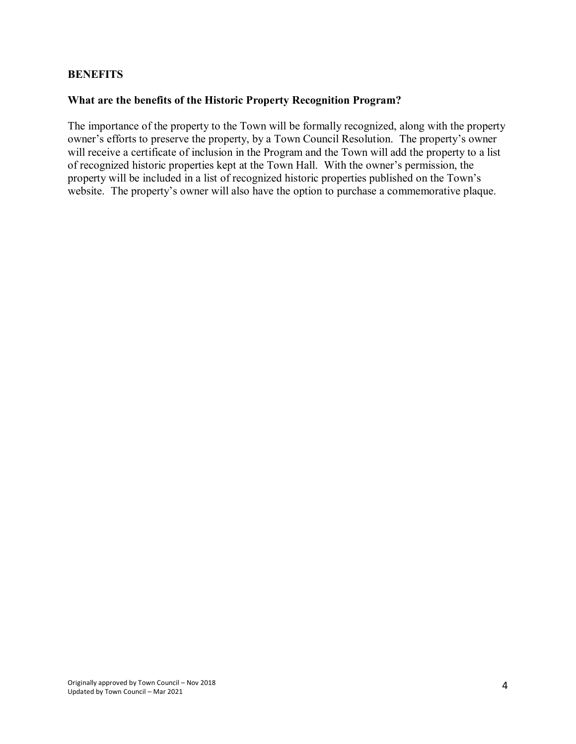#### **BENEFITS**

#### **What are the benefits of the Historic Property Recognition Program?**

The importance of the property to the Town will be formally recognized, along with the property owner's efforts to preserve the property, by a Town Council Resolution. The property's owner will receive a certificate of inclusion in the Program and the Town will add the property to a list of recognized historic properties kept at the Town Hall. With the owner's permission, the property will be included in a list of recognized historic properties published on the Town's website. The property's owner will also have the option to purchase a commemorative plaque.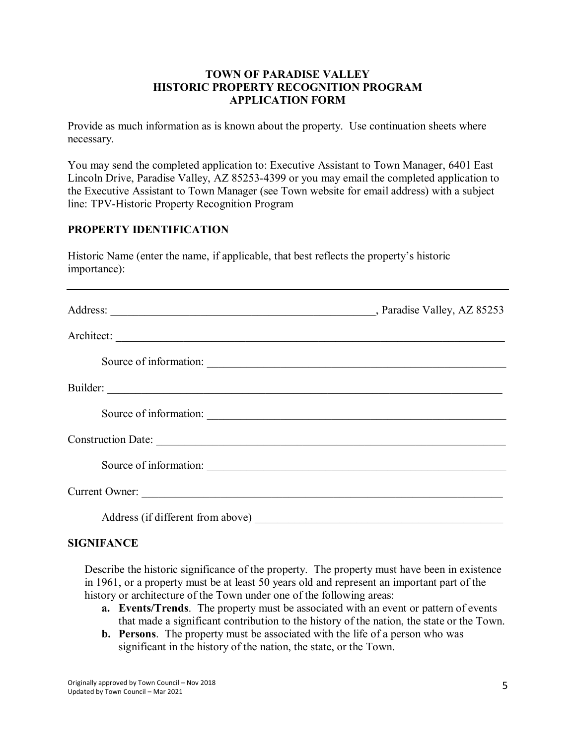# **TOWN OF PARADISE VALLEY HISTORIC PROPERTY RECOGNITION PROGRAM APPLICATION FORM**

Provide as much information as is known about the property. Use continuation sheets where necessary.

You may send the completed application to: Executive Assistant to Town Manager, 6401 East Lincoln Drive, Paradise Valley, AZ 85253-4399 or you may email the completed application to the Executive Assistant to Town Manager (see Town website for email address) with a subject line: TPV-Historic Property Recognition Program

# **PROPERTY IDENTIFICATION**

Historic Name (enter the name, if applicable, that best reflects the property's historic importance):

|                                   | , Paradise Valley, AZ 85253 |
|-----------------------------------|-----------------------------|
|                                   |                             |
| Source of information:            |                             |
|                                   |                             |
| Source of information:            |                             |
|                                   |                             |
| Source of information:            |                             |
| Current Owner:                    |                             |
| Address (if different from above) |                             |

#### **SIGNIFANCE**

Describe the historic significance of the property. The property must have been in existence in 1961, or a property must be at least 50 years old and represent an important part of the history or architecture of the Town under one of the following areas:

- **a. Events/Trends**. The property must be associated with an event or pattern of events that made a significant contribution to the history of the nation, the state or the Town.
- **b. Persons**. The property must be associated with the life of a person who was significant in the history of the nation, the state, or the Town.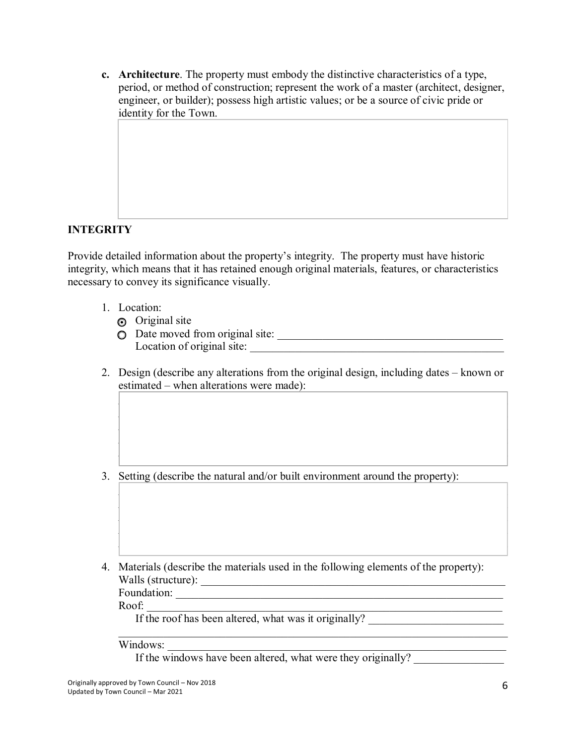**c. Architecture**. The property must embody the distinctive characteristics of a type, period, or method of construction; represent the work of a master (architect, designer, engineer, or builder); possess high artistic values; or be a source of civic pride or identity for the Town.

# **INTEGRITY**

Provide detailed information about the property's integrity. The property must have historic integrity, which means that it has retained enough original materials, features, or characteristics necessary to convey its significance visually.

- 1. Location:
	- **o** Original site
	- o Date moved from original site: \_\_\_\_\_\_\_\_\_\_\_\_\_\_\_\_\_\_\_\_\_\_\_\_\_\_\_\_\_\_\_\_\_\_\_\_\_\_\_\_ Location of original site:
- 2. Design (describe any alterations from the original design, including dates known or estimated – when alterations were made):

 $\Box$  , where the contribution of the contribution of the contribution of the contribution of the contribution of the contribution of the contribution of the contribution of the contribution of the contribution of the cont  $\Box$  , where the contribution of the contribution of the contribution of the contribution of the contribution of the contribution of the contribution of the contribution of the contribution of the contribution of the cont  $\Box$  , where the contribution of the contribution of the contribution of the contribution of the contribution of the contribution of the contribution of the contribution of the contribution of the contribution of the cont  $\Box$  , where the contribution of the contribution of the contribution of the contribution of the contribution of the contribution of the contribution of the contribution of the contribution of the contribution of the cont  $\Box$  , where the contribution of the contribution of the contribution of the contribution of the contribution of the contribution of the contribution of the contribution of the contribution of the contribution of the cont

 $\Box$  , where the contribution of the contribution of the contribution of the contribution of the contribution of the contribution of the contribution of the contribution of the contribution of the contribution of the cont  $\Box$  , where the contribution of the contribution of the contribution of the contribution of the contribution of the contribution of the contribution of the contribution of the contribution of the contribution of the cont  $\Box$  , where the contribution of the contribution of the contribution of the contribution of the contribution of the contribution of the contribution of the contribution of the contribution of the contribution of the cont  $\Box$  , where the contribution of the contribution of the contribution of the contribution of the contribution of the contribution of the contribution of the contribution of the contribution of the contribution of the cont  $\Box$  , where the contribution of the contribution of the contribution of the contribution of the contribution of the contribution of the contribution of the contribution of the contribution of the contribution of the cont

 $\_$ 

3. Setting (describe the natural and/or built environment around the property):

4. Materials (describe the materials used in the following elements of the property): Walls (structure): \_\_\_\_\_\_\_\_\_\_\_\_\_\_\_\_\_\_\_\_\_\_\_\_\_\_\_\_\_\_\_\_\_\_\_\_\_\_\_\_\_\_\_\_\_\_\_\_\_\_\_\_\_\_

Foundation: \_\_\_\_\_\_\_\_\_\_\_\_\_\_\_\_\_\_\_\_\_\_\_\_\_\_\_\_\_\_\_\_\_\_\_\_\_\_\_\_\_\_\_\_\_\_\_\_\_\_\_\_\_\_\_\_\_\_

Roof: \_\_\_\_\_\_\_\_\_\_\_\_\_\_\_\_\_\_\_\_\_\_\_\_\_\_\_\_\_\_\_\_\_\_\_\_\_\_\_\_\_\_\_\_\_\_\_\_\_\_\_\_\_\_\_\_\_\_\_\_\_\_\_

If the roof has been altered, what was it originally?

Windows:

If the windows have been altered, what were they originally?